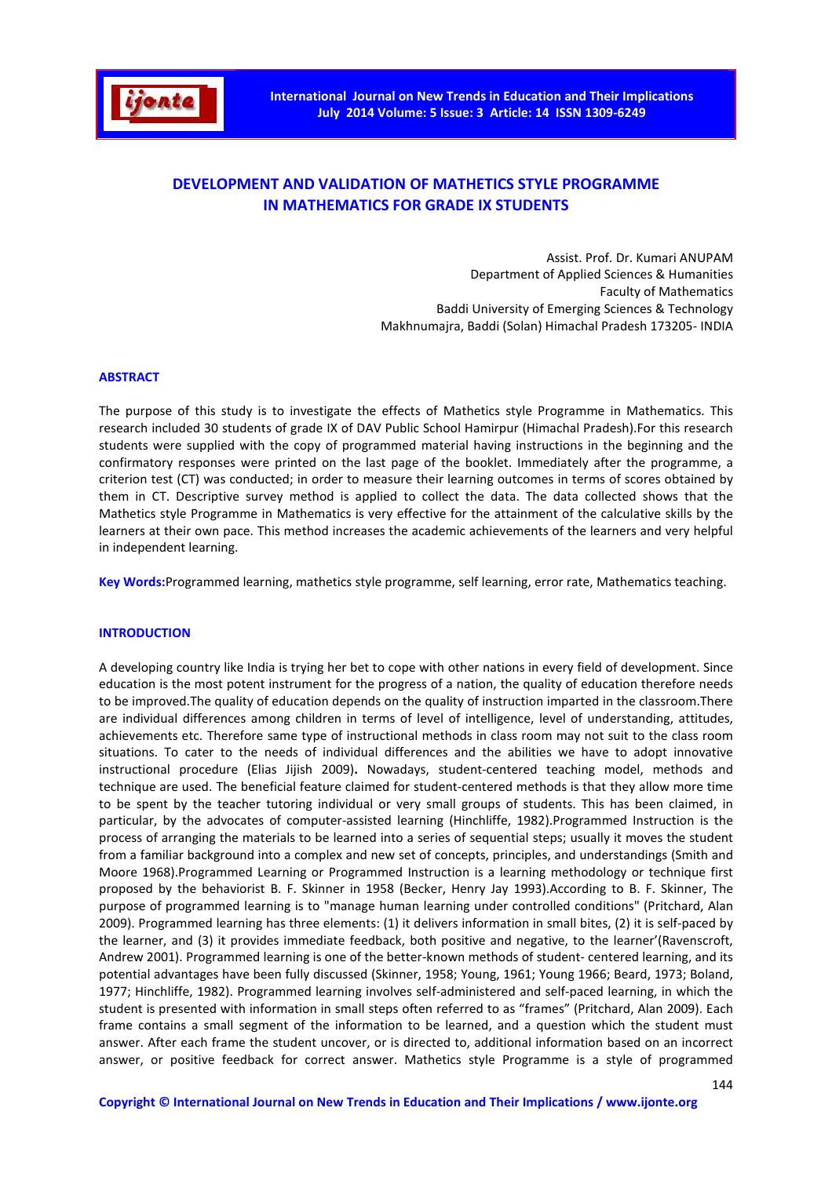

# **DEVELOPMENT AND VALIDATION OF MATHETICS STYLE PROGRAMME IN MATHEMATICS FOR GRADE IX STUDENTS**

Assist. Prof. Dr. Kumari ANUPAM Department of Applied Sciences & Humanities Faculty of Mathematics Baddi University of Emerging Sciences & Technology Makhnumajra, Baddi (Solan) Himachal Pradesh 173205- INDIA

### **ABSTRACT**

The purpose of this study is to investigate the effects of Mathetics style Programme in Mathematics. This research included 30 students of grade IX of DAV Public School Hamirpur (Himachal Pradesh).For this research students were supplied with the copy of programmed material having instructions in the beginning and the confirmatory responses were printed on the last page of the booklet. Immediately after the programme, a criterion test (CT) was conducted; in order to measure their learning outcomes in terms of scores obtained by them in CT. Descriptive survey method is applied to collect the data. The data collected shows that the Mathetics style Programme in Mathematics is very effective for the attainment of the calculative skills by the learners at their own pace. This method increases the academic achievements of the learners and very helpful in independent learning.

**Key Words:**Programmed learning, mathetics style programme, self learning, error rate, Mathematics teaching.

### **INTRODUCTION**

A developing country like India is trying her bet to cope with other nations in every field of development. Since education is the most potent instrument for the progress of a nation, the quality of education therefore needs to be improved.The quality of education depends on the quality of instruction imparted in the classroom.There are individual differences among children in terms of level of intelligence, level of understanding, attitudes, achievements etc. Therefore same type of instructional methods in class room may not suit to the class room situations. To cater to the needs of individual differences and the abilities we have to adopt innovative instructional procedure (Elias Jijish 2009)**.** Nowadays, student-centered teaching model, methods and technique are used. The beneficial feature claimed for student-centered methods is that they allow more time to be spent by the teacher tutoring individual or very small groups of students. This has been claimed, in particular, by the advocates of computer-assisted learning (Hinchliffe, 1982).Programmed Instruction is the process of arranging the materials to be learned into a series of sequential steps; usually it moves the student from a familiar background into a complex and new set of concepts, principles, and understandings (Smith and Moore 1968).Programmed Learning or Programmed Instruction is a learning methodology or technique first proposed by the behaviorist B. F. Skinner in 1958 (Becker, Henry Jay 1993).According to B. F. Skinner, The purpose of programmed learning is to "manage human learning under controlled conditions" (Pritchard, Alan 2009). Programmed learning has three elements: (1) it delivers information in small bites, (2) it is self-paced by the learner, and (3) it provides immediate feedback, both positive and negative, to the learner'(Ravenscroft, Andrew 2001). Programmed learning is one of the better-known methods of student- centered learning, and its potential advantages have been fully discussed (Skinner, 1958; Young, 1961; Young 1966; Beard, 1973; Boland, 1977; Hinchliffe, 1982). Programmed learning involves self-administered and self-paced learning, in which the student is presented with information in small steps often referred to as "frames" (Pritchard, Alan 2009). Each frame contains a small segment of the information to be learned, and a question which the student must answer. After each frame the student uncover, or is directed to, additional information based on an incorrect answer, or positive feedback for correct answer. Mathetics style Programme is a style of programmed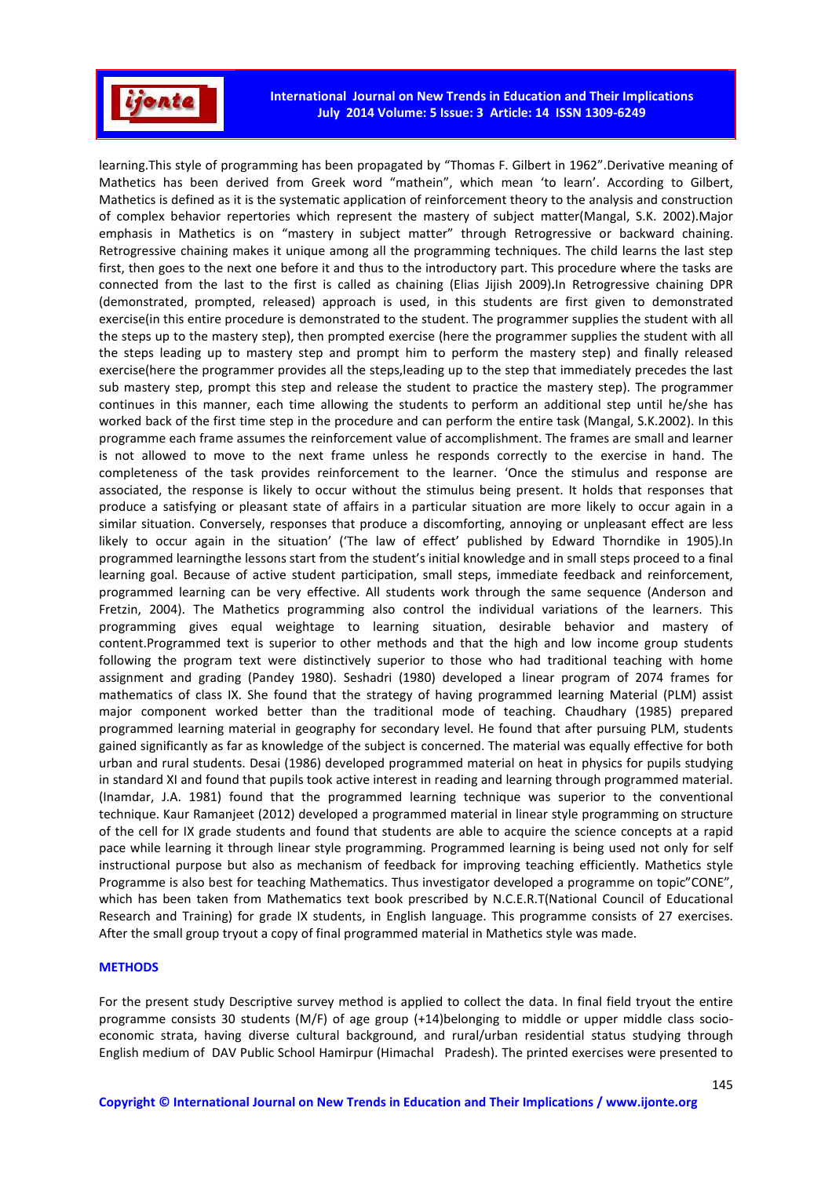

**International Journal on New Trends in Education and Their Implications July 2014 Volume: 5 Issue: 3 Article: 14 ISSN 1309-6249** 

learning.This style of programming has been propagated by "Thomas F. Gilbert in 1962".Derivative meaning of Mathetics has been derived from Greek word "mathein", which mean 'to learn'. According to Gilbert, Mathetics is defined as it is the systematic application of reinforcement theory to the analysis and construction of complex behavior repertories which represent the mastery of subject matter(Mangal, S.K. 2002).Major emphasis in Mathetics is on "mastery in subject matter" through Retrogressive or backward chaining. Retrogressive chaining makes it unique among all the programming techniques. The child learns the last step first, then goes to the next one before it and thus to the introductory part. This procedure where the tasks are connected from the last to the first is called as chaining (Elias Jijish 2009)**.**In Retrogressive chaining DPR (demonstrated, prompted, released) approach is used, in this students are first given to demonstrated exercise(in this entire procedure is demonstrated to the student. The programmer supplies the student with all the steps up to the mastery step), then prompted exercise (here the programmer supplies the student with all the steps leading up to mastery step and prompt him to perform the mastery step) and finally released exercise(here the programmer provides all the steps,leading up to the step that immediately precedes the last sub mastery step, prompt this step and release the student to practice the mastery step). The programmer continues in this manner, each time allowing the students to perform an additional step until he/she has worked back of the first time step in the procedure and can perform the entire task (Mangal, S.K.2002). In this programme each frame assumes the reinforcement value of accomplishment. The frames are small and learner is not allowed to move to the next frame unless he responds correctly to the exercise in hand. The completeness of the task provides reinforcement to the learner. 'Once the stimulus and response are associated, the response is likely to occur without the stimulus being present. It holds that responses that produce a satisfying or pleasant state of affairs in a particular situation are more likely to occur again in a similar situation. Conversely, responses that produce a discomforting, annoying or unpleasant effect are less likely to occur again in the situation' ('The law of effect' published by Edward Thorndike in 1905).In programmed learningthe lessons start from the student's initial knowledge and in small steps proceed to a final learning goal. Because of active student participation, small steps, immediate feedback and reinforcement, programmed learning can be very effective. All students work through the same sequence (Anderson and Fretzin, 2004). The Mathetics programming also control the individual variations of the learners. This programming gives equal weightage to learning situation, desirable behavior and mastery of content.Programmed text is superior to other methods and that the high and low income group students following the program text were distinctively superior to those who had traditional teaching with home assignment and grading (Pandey 1980). Seshadri (1980) developed a linear program of 2074 frames for mathematics of class IX. She found that the strategy of having programmed learning Material (PLM) assist major component worked better than the traditional mode of teaching. Chaudhary (1985) prepared programmed learning material in geography for secondary level. He found that after pursuing PLM, students gained significantly as far as knowledge of the subject is concerned. The material was equally effective for both urban and rural students. Desai (1986) developed programmed material on heat in physics for pupils studying in standard XI and found that pupils took active interest in reading and learning through programmed material. (Inamdar, J.A. 1981) found that the programmed learning technique was superior to the conventional technique. Kaur Ramanjeet (2012) developed a programmed material in linear style programming on structure of the cell for IX grade students and found that students are able to acquire the science concepts at a rapid pace while learning it through linear style programming. Programmed learning is being used not only for self instructional purpose but also as mechanism of feedback for improving teaching efficiently. Mathetics style Programme is also best for teaching Mathematics. Thus investigator developed a programme on topic"CONE", which has been taken from Mathematics text book prescribed by N.C.E.R.T(National Council of Educational Research and Training) for grade IX students, in English language. This programme consists of 27 exercises. After the small group tryout a copy of final programmed material in Mathetics style was made.

#### **METHODS**

For the present study Descriptive survey method is applied to collect the data. In final field tryout the entire programme consists 30 students (M/F) of age group (+14)belonging to middle or upper middle class socioeconomic strata, having diverse cultural background, and rural/urban residential status studying through English medium of DAV Public School Hamirpur (Himachal Pradesh). The printed exercises were presented to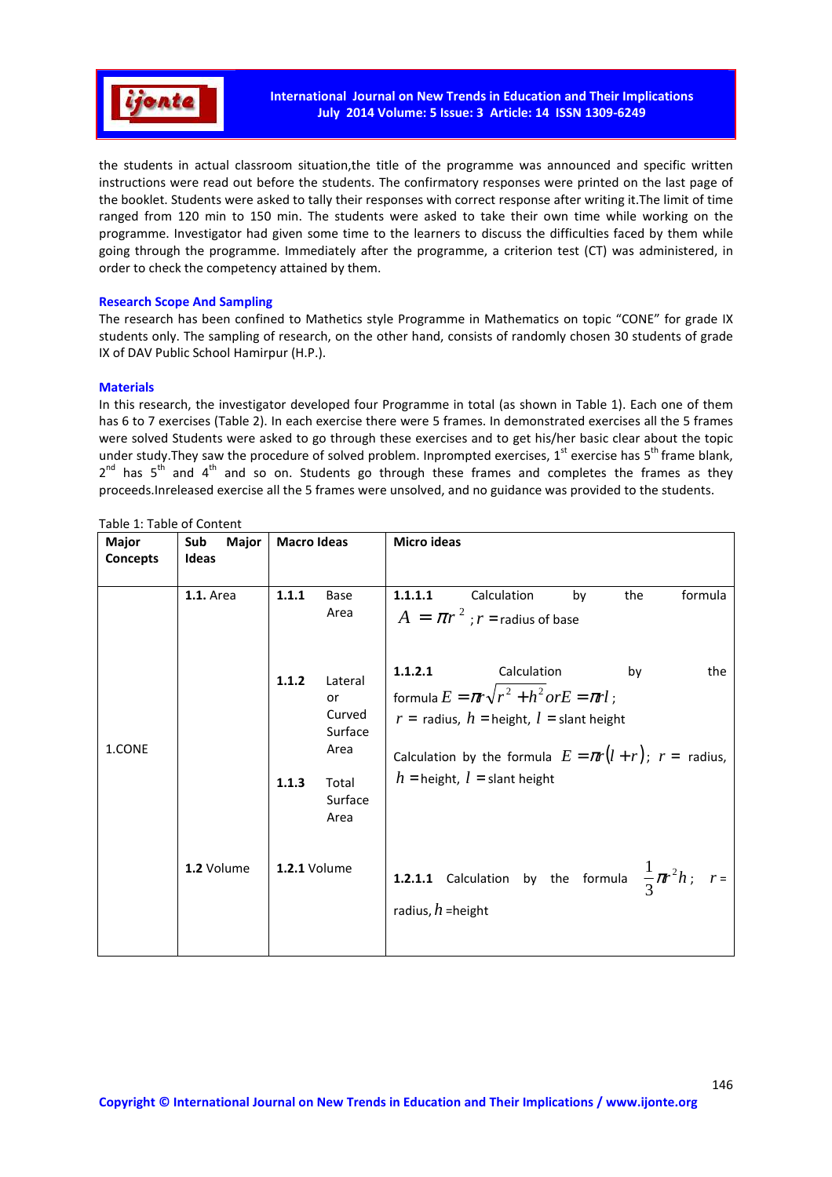

the students in actual classroom situation,the title of the programme was announced and specific written instructions were read out before the students. The confirmatory responses were printed on the last page of the booklet. Students were asked to tally their responses with correct response after writing it.The limit of time ranged from 120 min to 150 min. The students were asked to take their own time while working on the programme. Investigator had given some time to the learners to discuss the difficulties faced by them while going through the programme. Immediately after the programme, a criterion test (CT) was administered, in order to check the competency attained by them.

### **Research Scope And Sampling**

The research has been confined to Mathetics style Programme in Mathematics on topic "CONE" for grade IX students only. The sampling of research, on the other hand, consists of randomly chosen 30 students of grade IX of DAV Public School Hamirpur (H.P.).

## **Materials**

In this research, the investigator developed four Programme in total (as shown in Table 1). Each one of them has 6 to 7 exercises (Table 2). In each exercise there were 5 frames. In demonstrated exercises all the 5 frames were solved Students were asked to go through these exercises and to get his/her basic clear about the topic under study. They saw the procedure of solved problem. Inprompted exercises, 1<sup>st</sup> exercise has 5<sup>th</sup> frame blank,  $2^{nd}$  has 5<sup>th</sup> and 4<sup>th</sup> and so on. Students go through these frames and completes the frames as they proceeds.Inreleased exercise all the 5 frames were unsolved, and no guidance was provided to the students.

| Major           | Sub<br>Major     | <b>Macro Ideas</b>  |                                                                        | <b>Micro ideas</b>  |                                                                                                                                                                                                                             |    |     |         |
|-----------------|------------------|---------------------|------------------------------------------------------------------------|---------------------|-----------------------------------------------------------------------------------------------------------------------------------------------------------------------------------------------------------------------------|----|-----|---------|
| <b>Concepts</b> | <b>Ideas</b>     |                     |                                                                        |                     |                                                                                                                                                                                                                             |    |     |         |
|                 | <b>1.1.</b> Area | 1.1.1               | Base<br>Area                                                           | 1.1.1.1             | Calculation<br>$A = \pi r^2$ ; $r =$ radius of base                                                                                                                                                                         | by | the | formula |
| 1.CONE          |                  | 1.1.2<br>1.1.3      | Lateral<br>or<br>Curved<br>Surface<br>Area<br>Total<br>Surface<br>Area | 1.1.2.1             | Calculation<br>formula $E = \pi r \sqrt{r^2 + h^2}$ or $E = \pi r l$ ;<br>$r =$ radius, $h =$ height, $l =$ slant height<br>Calculation by the formula $E = \pi r(l+r)$ ; $r =$ radius,<br>$h =$ height, $l =$ slant height |    | by  | the     |
|                 | 1.2 Volume       | <b>1.2.1 Volume</b> |                                                                        | radius, $h$ =height | <b>1.2.1.1</b> Calculation by the formula $\frac{1}{3}\pi r^2 h$ ; $r=$                                                                                                                                                     |    |     |         |

Table 1: Table of Content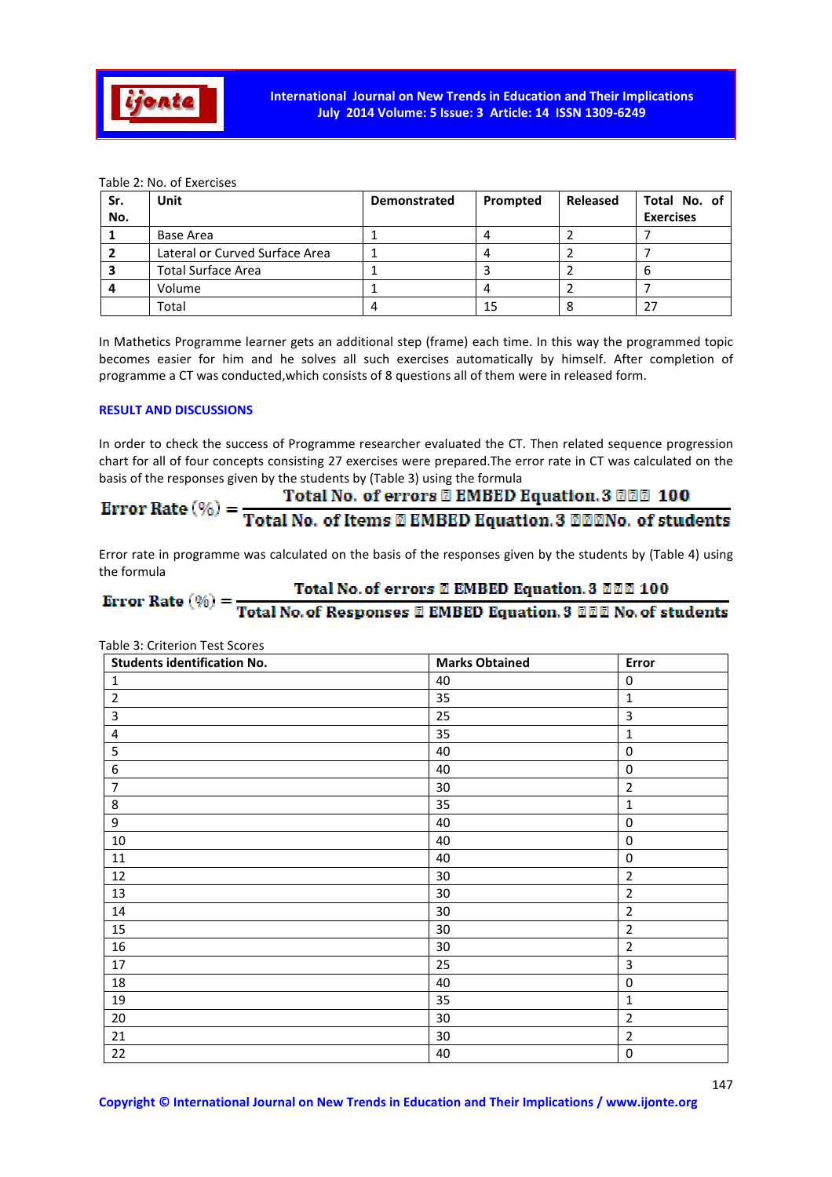

Table 2: No. of Exercises

| Sr.<br>No. | Unit                           | <b>Demonstrated</b> | Prompted | Released | Total No. of<br><b>Exercises</b> |
|------------|--------------------------------|---------------------|----------|----------|----------------------------------|
|            | Base Area                      |                     |          |          |                                  |
|            | Lateral or Curved Surface Area |                     |          |          |                                  |
|            | <b>Total Surface Area</b>      |                     |          |          | b                                |
|            | Volume                         |                     |          |          |                                  |
|            | Total                          | 4                   | 15       |          |                                  |

In Mathetics Programme learner gets an additional step (frame) each time. In this way the programmed topic becomes easier for him and he solves all such exercises automatically by himself. After completion of programme a CT was conducted,which consists of 8 questions all of them were in released form.

## **RESULT AND DISCUSSIONS**

In order to check the success of Programme researcher evaluated the CT. Then related sequence progression chart for all of four concepts consisting 27 exercises were prepared.The error rate in CT was calculated on the basis of the responses given by the students by (Table 3) using the formula

# Total No. of errors @ EMBED Equation. 3 @@@ 100

Error Rate  $(\%) = \frac{10 \times 1000 \text{ J}}{Total No. of items \times 2 \times 1000}$  EMBED Equation. 3 MMD. of students

Error rate in programme was calculated on the basis of the responses given by the students by (Table 4) using the formula

# Total No. of errors 2 EMBED Equation. 3 222 100 Error Rate  $(\% ) = \frac{10 \text{cm} \times 0.01 \text{ errors of } \text{E} \times \text{E}}{ \text{Total No. of Respones} \times \text{E} \times \text{E} \times \text{E}}$  EMBED Equation. 3 000 No. of students

| <b>Students identification No.</b> | <b>Marks Obtained</b> | Error            |
|------------------------------------|-----------------------|------------------|
| $\mathbf{1}$                       | 40                    | 0                |
| $\overline{2}$                     | 35                    | $\mathbf{1}$     |
| 3                                  | 25                    | 3                |
| 4                                  | 35                    | 1                |
| 5                                  | 40                    | 0                |
| 6                                  | 40                    | 0                |
| 7                                  | 30                    | $\overline{2}$   |
| 8                                  | 35                    | $\mathbf{1}$     |
| 9                                  | 40                    | 0                |
| $10\,$                             | 40                    | $\mathbf 0$      |
| 11                                 | 40                    | $\boldsymbol{0}$ |
| 12                                 | 30                    | $\overline{2}$   |
| 13                                 | 30                    | $\overline{2}$   |
| 14                                 | 30                    | $\overline{2}$   |
| 15                                 | 30                    | $\overline{2}$   |
| 16                                 | 30                    | $\overline{2}$   |
| 17                                 | 25                    | $\overline{3}$   |
| 18                                 | 40                    | 0                |
| 19                                 | 35                    | $\mathbf{1}$     |
| $20\,$                             | 30                    | $\overline{2}$   |
| 21                                 | 30                    | $\overline{2}$   |
| 22                                 | 40                    | 0                |

Table 3: Criterion Test Scores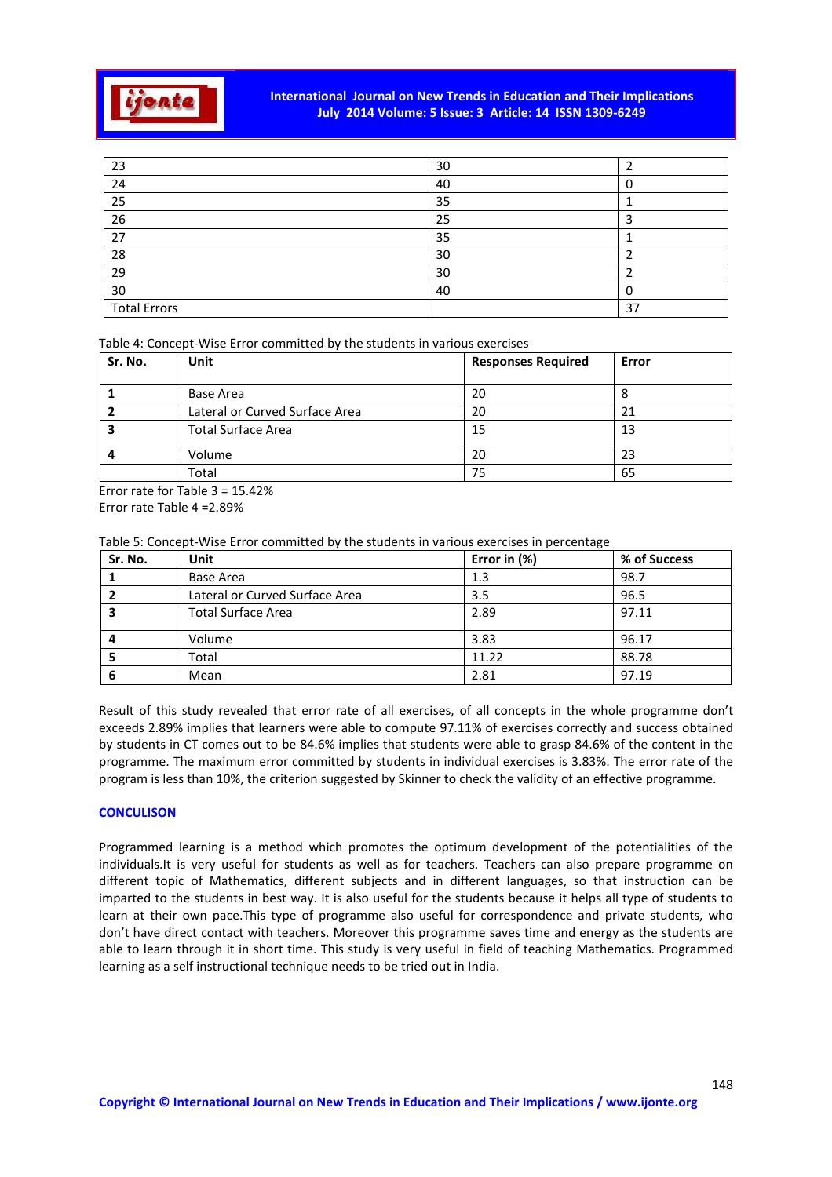

# **International Journal on New Trends in Education and Their Implications July 2014 Volume: 5 Issue: 3 Article: 14 ISSN 1309-6249**

| 23                  | 30 |    |
|---------------------|----|----|
| 24                  | 40 |    |
| 25                  | 35 |    |
| 26                  | 25 |    |
| 27                  | 35 |    |
| 28                  | 30 |    |
| 29                  | 30 |    |
| 30                  | 40 |    |
| <b>Total Errors</b> |    | 37 |

Table 4: Concept-Wise Error committed by the students in various exercises

| Sr. No. | <b>Unit</b>                    | <b>Responses Required</b> | Error |
|---------|--------------------------------|---------------------------|-------|
|         |                                |                           |       |
|         | Base Area                      | 20                        | Õ     |
|         | Lateral or Curved Surface Area | 20                        | 21    |
|         | <b>Total Surface Area</b>      | 15                        | 13    |
|         | Volume                         | 20                        | 23    |
|         | Total                          | 75                        | 65    |

Error rate for Table 3 = 15.42% Error rate Table 4 =2.89%

Table 5: Concept-Wise Error committed by the students in various exercises in percentage

| Sr. No. | Unit                           | Error in (%) | % of Success |
|---------|--------------------------------|--------------|--------------|
|         | Base Area                      | 1.3          | 98.7         |
|         | Lateral or Curved Surface Area | 3.5          | 96.5         |
|         | <b>Total Surface Area</b>      | 2.89         | 97.11        |
|         | Volume                         | 3.83         | 96.17        |
|         | Total                          | 11.22        | 88.78        |
| 6       | Mean                           | 2.81         | 97.19        |

Result of this study revealed that error rate of all exercises, of all concepts in the whole programme don't exceeds 2.89% implies that learners were able to compute 97.11% of exercises correctly and success obtained by students in CT comes out to be 84.6% implies that students were able to grasp 84.6% of the content in the programme. The maximum error committed by students in individual exercises is 3.83%. The error rate of the program is less than 10%, the criterion suggested by Skinner to check the validity of an effective programme.

# **CONCULISON**

Programmed learning is a method which promotes the optimum development of the potentialities of the individuals.It is very useful for students as well as for teachers. Teachers can also prepare programme on different topic of Mathematics, different subjects and in different languages, so that instruction can be imparted to the students in best way. It is also useful for the students because it helps all type of students to learn at their own pace.This type of programme also useful for correspondence and private students, who don't have direct contact with teachers. Moreover this programme saves time and energy as the students are able to learn through it in short time. This study is very useful in field of teaching Mathematics. Programmed learning as a self instructional technique needs to be tried out in India.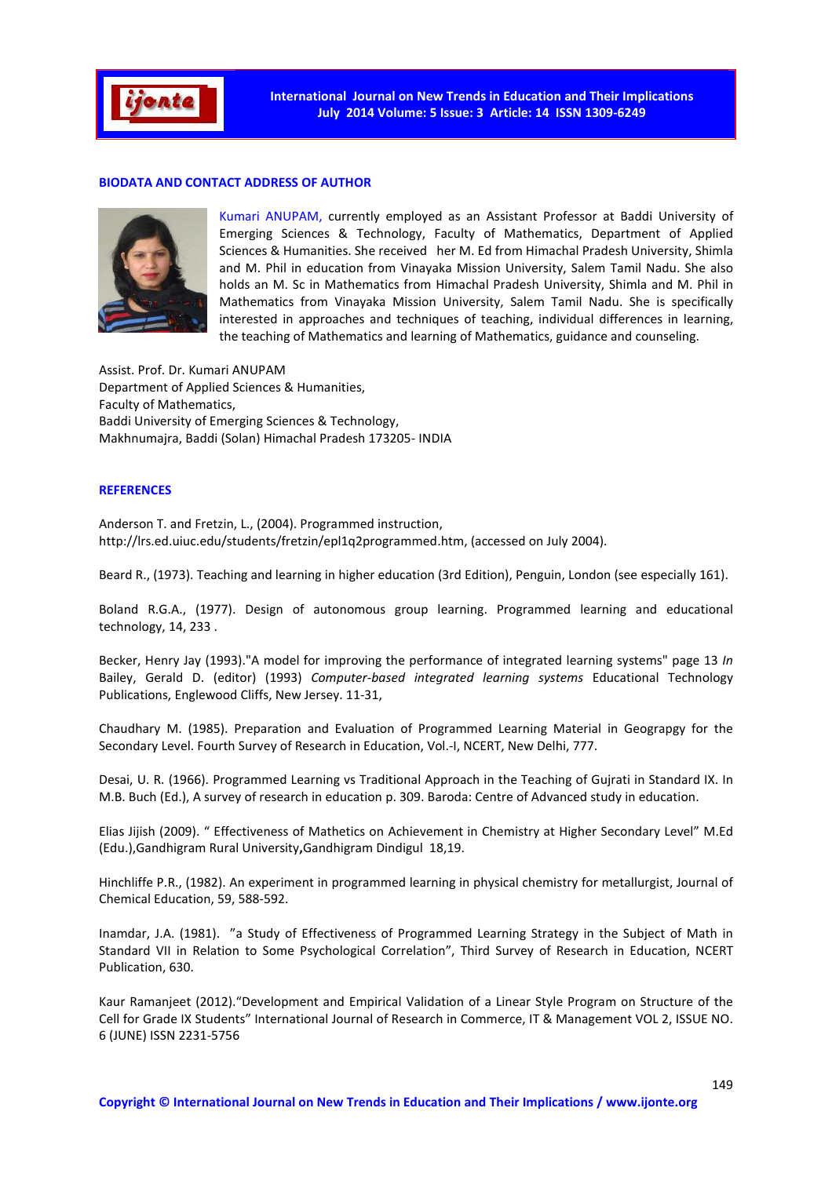

### **BIODATA AND CONTACT ADDRESS OF AUTHOR**



Kumari ANUPAM, currently employed as an Assistant Professor at Baddi University of Emerging Sciences & Technology, Faculty of Mathematics, Department of Applied Sciences & Humanities. She received her M. Ed from Himachal Pradesh University, Shimla and M. Phil in education from Vinayaka Mission University, Salem Tamil Nadu. She also holds an M. Sc in Mathematics from Himachal Pradesh University, Shimla and M. Phil in Mathematics from Vinayaka Mission University, Salem Tamil Nadu. She is specifically interested in approaches and techniques of teaching, individual differences in learning, the teaching of Mathematics and learning of Mathematics, guidance and counseling.

Assist. Prof. Dr. Kumari ANUPAM Department of Applied Sciences & Humanities, Faculty of Mathematics, Baddi University of Emerging Sciences & Technology, Makhnumajra, Baddi (Solan) Himachal Pradesh 173205- INDIA

### **REFERENCES**

Anderson T. and Fretzin, L., (2004). Programmed instruction, http://lrs.ed.uiuc.edu/students/fretzin/epl1q2programmed.htm, (accessed on July 2004).

Beard R., (1973). Teaching and learning in higher education (3rd Edition), Penguin, London (see especially 161).

Boland R.G.A., (1977). Design of autonomous group learning. Programmed learning and educational technology, 14, 233 .

Becker, Henry Jay (1993)."A model for improving the performance of integrated learning systems" page 13 *In* Bailey, Gerald D. (editor) (1993) *Computer-based integrated learning systems* Educational Technology Publications, Englewood Cliffs, New Jersey. 11-31,

Chaudhary M. (1985). Preparation and Evaluation of Programmed Learning Material in Geograpgy for the Secondary Level. Fourth Survey of Research in Education, Vol.-I, NCERT, New Delhi, 777.

Desai, U. R. (1966). Programmed Learning vs Traditional Approach in the Teaching of Gujrati in Standard IX. In M.B. Buch (Ed.), A survey of research in education p. 309. Baroda: Centre of Advanced study in education.

Elias Jijish (2009). " Effectiveness of Mathetics on Achievement in Chemistry at Higher Secondary Level" M.Ed (Edu.),Gandhigram Rural University**,**Gandhigram Dindigul 18,19.

Hinchliffe P.R., (1982). An experiment in programmed learning in physical chemistry for metallurgist, Journal of Chemical Education, 59, 588-592.

Inamdar, J.A. (1981). "a Study of Effectiveness of Programmed Learning Strategy in the Subject of Math in Standard VII in Relation to Some Psychological Correlation", Third Survey of Research in Education, NCERT Publication, 630.

Kaur Ramanjeet (2012)."Development and Empirical Validation of a Linear Style Program on Structure of the Cell for Grade IX Students" International Journal of Research in Commerce, IT & Management VOL 2, ISSUE NO. 6 (JUNE) ISSN 2231-5756